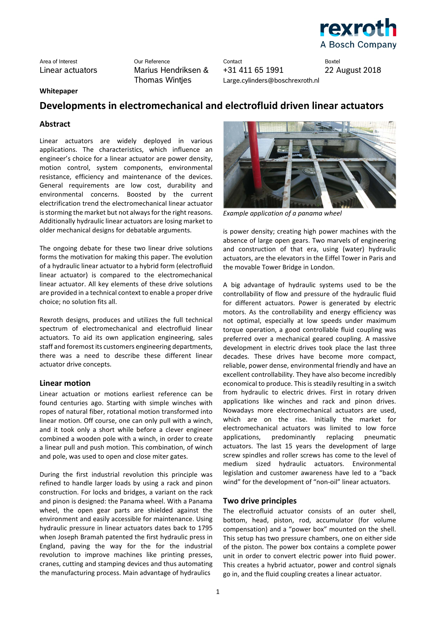

Area of Interest Our Reference Contact Boxtel +31 411 65 1991 Large.cylinders@boschrexroth.nl

22 August 2018

### **Whitepaper**

## **Developments in electromechanical and electrofluid driven linear actuators**

### **Abstract**

Linear actuators are widely deployed in various applications. The characteristics, which influence an engineer's choice for a linear actuator are power density, motion control, system components, environmental resistance, efficiency and maintenance of the devices. General requirements are low cost, durability and environmental concerns. Boosted by the current electrification trend the electromechanical linear actuator is storming the market but not always for the right reasons. Additionally hydraulic linear actuators are losing market to older mechanical designs for debatable arguments.

The ongoing debate for these two linear drive solutions forms the motivation for making this paper. The evolution of a hydraulic linear actuator to a hybrid form (electrofluid linear actuator) is compared to the electromechanical linear actuator. All key elements of these drive solutions are provided in a technical context to enable a proper drive choice; no solution fits all.

Rexroth designs, produces and utilizes the full technical spectrum of electromechanical and electrofluid linear actuators. To aid its own application engineering, sales staff and foremost its customers engineering departments, there was a need to describe these different linear actuator drive concepts.

### **Linear motion**

Linear actuation or motions earliest reference can be found centuries ago. Starting with simple winches with ropes of natural fiber, rotational motion transformed into linear motion. Off course, one can only pull with a winch, and it took only a short while before a clever engineer combined a wooden pole with a winch, in order to create a linear pull and push motion. This combination, of winch and pole, was used to open and close miter gates.

During the first industrial revolution this principle was refined to handle larger loads by using a rack and pinon construction. For locks and bridges, a variant on the rack and pinon is designed: the Panama wheel. With a Panama wheel, the open gear parts are shielded against the environment and easily accessible for maintenance. Using hydraulic pressure in linear actuators dates back to 1795 when Joseph Bramah patented the first hydraulic press in England, paving the way for the for the industrial revolution to improve machines like printing presses, cranes, cutting and stamping devices and thus automating the manufacturing process. Main advantage of hydraulics



*Example application of a panama wheel* 

is power density; creating high power machines with the absence of large open gears. Two marvels of engineering and construction of that era, using (water) hydraulic actuators, are the elevators in the Eiffel Tower in Paris and the movable Tower Bridge in London.

A big advantage of hydraulic systems used to be the controllability of flow and pressure of the hydraulic fluid for different actuators. Power is generated by electric motors. As the controllability and energy efficiency was not optimal, especially at low speeds under maximum torque operation, a good controllable fluid coupling was preferred over a mechanical geared coupling. A massive development in electric drives took place the last three decades. These drives have become more compact, reliable, power dense, environmental friendly and have an excellent controllability. They have also become incredibly economical to produce. This is steadily resulting in a switch from hydraulic to electric drives. First in rotary driven applications like winches and rack and pinon drives. Nowadays more electromechanical actuators are used, which are on the rise. Initially the market for electromechanical actuators was limited to low force applications, predominantly replacing pneumatic actuators. The last 15 years the development of large screw spindles and roller screws has come to the level of medium sized hydraulic actuators. Environmental legislation and customer awareness have led to a "back wind" for the development of "non-oil" linear actuators.

### **Two drive principles**

The electrofluid actuator consists of an outer shell, bottom, head, piston, rod, accumulator (for volume compensation) and a "power box" mounted on the shell. This setup has two pressure chambers, one on either side of the piston. The power box contains a complete power unit in order to convert electric power into fluid power. This creates a hybrid actuator, power and control signals go in, and the fluid coupling creates a linear actuator.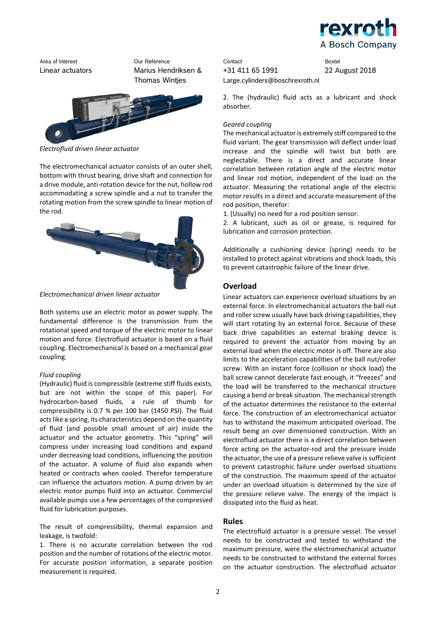



*Electrofluid driven linear actuator*

The electromechanical actuator consists of an outer shell, bottom with thrust bearing, drive shaft and connection for a drive module, anti-rotation device for the nut, hollow rod accommodating a screw spindle and a nut to transfer the rotating motion from the screw spindle to linear motion of the rod.



*Electromechanical driven linear actuator*

Both systems use an electric motor as power supply. The fundamental difference is the transmission from the rotational speed and torque of the electric motor to linear motion and force. Electrofluid actuator is based on a fluid coupling. Electromechanical is based on a mechanical gear coupling.

### *Fluid coupling*

(Hydraulic) fluid is compressible (extreme stiff fluids exists, but are not within the scope of this paper). For hydrocarbon-based fluids, a rule of thumb for compressibility is 0.7 % per 100 bar (1450 PSI). The fluid acts like a spring, its characteristics depend on the quantity of fluid (and possible small amount of air) inside the actuator and the actuator geometry. This "spring" will compress under increasing load conditions and expand under decreasing load conditions, influencing the position of the actuator. A volume of fluid also expands when heated or contracts when cooled. Therefor temperature can influence the actuators motion. A pump driven by an electric motor pumps fluid into an actuator. Commercial available pumps use a few percentages of the compressed fluid for lubrication purposes.

The result of compressibility, thermal expansion and leakage, is twofold:

1. There is no accurate correlation between the rod position and the number of rotations of the electric motor. For accurate position information, a separate position measurement is required.

Area of Interest Our Reference Contact Boxtel +31 411 65 1991 Large.cylinders@boschrexroth.nl

22 August 2018

2. The (hydraulic) fluid acts as a lubricant and shock absorber.

### *Geared coupling*

The mechanical actuator is extremely stiff compared to the fluid variant. The gear transmission will deflect under load increase and the spindle will twist but both are neglectable. There is a direct and accurate linear correlation between rotation angle of the electric motor and linear rod motion, independent of the load on the actuator. Measuring the rotational angle of the electric motor results in a direct and accurate measurement of the rod position, therefor:

1. (Usually) no need for a rod position sensor.

2. A lubricant, such as oil or grease, is required for lubrication and corrosion protection.

Additionally a cushioning device (spring) needs to be installed to protect against vibrations and shock loads, this to prevent catastrophic failure of the linear drive.

## **Overload**

Linear actuators can experience overload situations by an external force. In electromechanical actuators the ball nut and roller screw usually have back driving capabilities, they will start rotating by an external force. Because of these back drive capabilities an external braking device is required to prevent the actuator from moving by an external load when the electric motor is off. There are also limits to the acceleration capabilities of the ball nut/roller screw. With an instant force (collision or shock load) the ball screw cannot decelerate fast enough, it "freezes" and the load will be transferred to the mechanical structure causing a bend or break situation. The mechanical strength of the actuator determines the resistance to the external force. The construction of an electromechanical actuator has to withstand the maximum anticipated overload. The result being an over dimensioned construction. With an electrofluid actuator there is a direct correlation between force acting on the actuator-rod and the pressure inside the actuator, the use of a pressure relieve valve is sufficient to prevent catastrophic failure under overload situations of the construction. The maximum speed of the actuator under an overload situation is determined by the size of the pressure relieve valve. The energy of the impact is dissipated into the fluid as heat.

## **Rules**

The electrofluid actuator is a pressure vessel. The vessel needs to be constructed and tested to withstand the maximum pressure, were the electromechanical actuator needs to be constructed to withstand the external forces on the actuator construction. The electrofluid actuator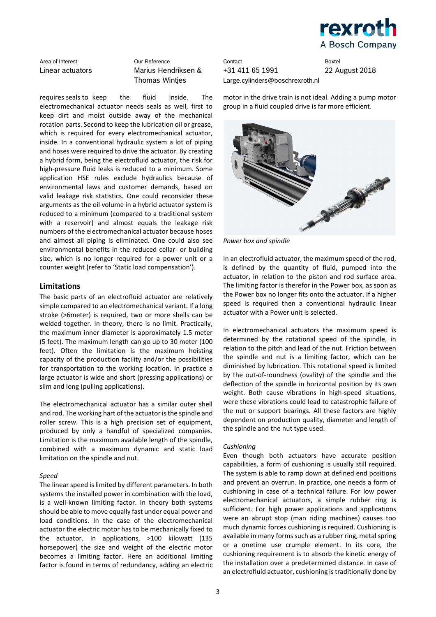

requires seals to keep the fluid inside. The electromechanical actuator needs seals as well, first to keep dirt and moist outside away of the mechanical rotation parts. Second to keep the lubrication oil or grease, which is required for every electromechanical actuator, inside. In a conventional hydraulic system a lot of piping and hoses were required to drive the actuator. By creating a hybrid form, being the electrofluid actuator, the risk for high-pressure fluid leaks is reduced to a minimum. Some application HSE rules exclude hydraulics because of environmental laws and customer demands, based on valid leakage risk statistics. One could reconsider these arguments as the oil volume in a hybrid actuator system is reduced to a minimum (compared to a traditional system with a reservoir) and almost equals the leakage risk numbers of the electromechanical actuator because hoses and almost all piping is eliminated. One could also see environmental benefits in the reduced cellar- or building size, which is no longer required for a power unit or a counter weight (refer to 'Static load compensation').

### **Limitations**

The basic parts of an electrofluid actuator are relatively simple compared to an electromechanical variant. If a long stroke (>6meter) is required, two or more shells can be welded together. In theory, there is no limit. Practically, the maximum inner diameter is approximately 1.5 meter (5 feet). The maximum length can go up to 30 meter (100 feet). Often the limitation is the maximum hoisting capacity of the production facility and/or the possibilities for transportation to the working location. In practice a large actuator is wide and short (pressing applications) or slim and long (pulling applications).

The electromechanical actuator has a similar outer shell and rod. The working hart of the actuator is the spindle and roller screw. This is a high precision set of equipment, produced by only a handful of specialized companies. Limitation is the maximum available length of the spindle, combined with a maximum dynamic and static load limitation on the spindle and nut.

### *Speed*

The linear speed is limited by different parameters. In both systems the installed power in combination with the load, is a well-known limiting factor. In theory both systems should be able to move equally fast under equal power and load conditions. In the case of the electromechanical actuator the electric motor has to be mechanically fixed to the actuator. In applications, >100 kilowatt (135 horsepower) the size and weight of the electric motor becomes a limiting factor. Here an additional limiting factor is found in terms of redundancy, adding an electric

Area of Interest Our Reference Contact Boxtel +31 411 65 1991 Large.cylinders@boschrexroth.nl

22 August 2018

motor in the drive train is not ideal. Adding a pump motor group in a fluid coupled drive is far more efficient.



*Power box and spindle*

In an electrofluid actuator, the maximum speed of the rod, is defined by the quantity of fluid, pumped into the actuator, in relation to the piston and rod surface area. The limiting factor is therefor in the Power box, as soon as the Power box no longer fits onto the actuator. If a higher speed is required then a conventional hydraulic linear actuator with a Power unit is selected.

In electromechanical actuators the maximum speed is determined by the rotational speed of the spindle, in relation to the pitch and lead of the nut. Friction between the spindle and nut is a limiting factor, which can be diminished by lubrication. This rotational speed is limited by the out-of-roundness (ovality) of the spindle and the deflection of the spindle in horizontal position by its own weight. Both cause vibrations in high-speed situations, were these vibrations could lead to catastrophic failure of the nut or support bearings. All these factors are highly dependent on production quality, diameter and length of the spindle and the nut type used.

### *Cushioning*

Even though both actuators have accurate position capabilities, a form of cushioning is usually still required. The system is able to ramp down at defined end positions and prevent an overrun. In practice, one needs a form of cushioning in case of a technical failure. For low power electromechanical actuators, a simple rubber ring is sufficient. For high power applications and applications were an abrupt stop (man riding machines) causes too much dynamic forces cushioning is required. Cushioning is available in many forms such as a rubber ring, metal spring or a onetime use crumple element. In its core, the cushioning requirement is to absorb the kinetic energy of the installation over a predetermined distance. In case of an electrofluid actuator, cushioning is traditionally done by